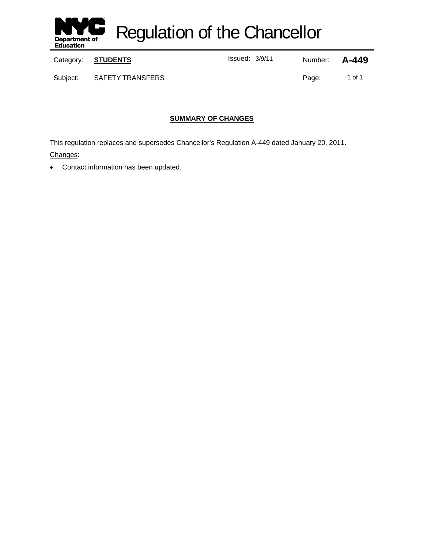

Regulation of the Chancellor

Category: **STUDENTS ISSUE ISSUED:** ISSUED: Number: **A-449** 

Subject: SAFETY TRANSFERS Page: 1 of 1

# **SUMMARY OF CHANGES**

This regulation replaces and supersedes Chancellor's Regulation A-449 dated January 20, 2011. Changes:

Contact information has been updated.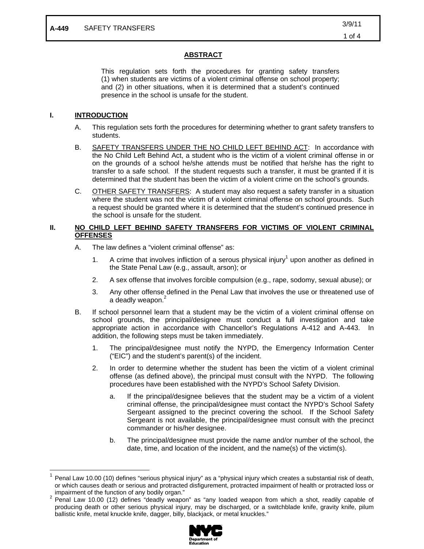### **ABSTRACT**

This regulation sets forth the procedures for granting safety transfers (1) when students are victims of a violent criminal offense on school property; and (2) in other situations, when it is determined that a student's continued presence in the school is unsafe for the student.

### **I. INTRODUCTION**

 $\overline{a}$ 

- A. This regulation sets forth the procedures for determining whether to grant safety transfers to students.
- B. SAFETY TRANSFERS UNDER THE NO CHILD LEFT BEHIND ACT: In accordance with the No Child Left Behind Act, a student who is the victim of a violent criminal offense in or on the grounds of a school he/she attends must be notified that he/she has the right to transfer to a safe school. If the student requests such a transfer, it must be granted if it is determined that the student has been the victim of a violent crime on the school's grounds.
- C. OTHER SAFETY TRANSFERS: A student may also request a safety transfer in a situation where the student was not the victim of a violent criminal offense on school grounds. Such a request should be granted where it is determined that the student's continued presence in the school is unsafe for the student.

#### **II. NO CHILD LEFT BEHIND SAFETY TRANSFERS FOR VICTIMS OF VIOLENT CRIMINAL OFFENSES**

- A. The law defines a "violent criminal offense" as:
	- 1. A crime that involves infliction of a serous physical injury<sup>1</sup> upon another as defined in the State Penal Law (e.g., assault, arson); or
	- 2. A sex offense that involves forcible compulsion (e.g., rape, sodomy, sexual abuse); or
	- 3. Any other offense defined in the Penal Law that involves the use or threatened use of a deadly weapon.<sup>2</sup>
- B. If school personnel learn that a student may be the victim of a violent criminal offense on school grounds, the principal/designee must conduct a full investigation and take appropriate action in accordance with Chancellor's Regulations A-412 and A-443. In addition, the following steps must be taken immediately.
	- 1. The principal/designee must notify the NYPD, the Emergency Information Center ("EIC") and the student's parent(s) of the incident.
	- 2. In order to determine whether the student has been the victim of a violent criminal offense (as defined above), the principal must consult with the NYPD. The following procedures have been established with the NYPD's School Safety Division.
		- a. If the principal/designee believes that the student may be a victim of a violent criminal offense, the principal/designee must contact the NYPD's School Safety Sergeant assigned to the precinct covering the school. If the School Safety Sergeant is not available, the principal/designee must consult with the precinct commander or his/her designee.
		- b. The principal/designee must provide the name and/or number of the school, the date, time, and location of the incident, and the name(s) of the victim(s).

<sup>&</sup>lt;sup>2</sup> Penal Law 10.00 (12) defines "deadly weapon" as "any loaded weapon from which a shot, readily capable of producing death or other serious physical injury, may be discharged, or a switchblade knife, gravity knife, pilum ballistic knife, metal knuckle knife, dagger, billy, blackjack, or metal knuckles."



Penal Law 10.00 (10) defines "serious physical injury" as a "physical injury which creates a substantial risk of death, or which causes death or serious and protracted disfigurement, protracted impairment of health or protracted loss or impairment of the function of any bodily organ." 2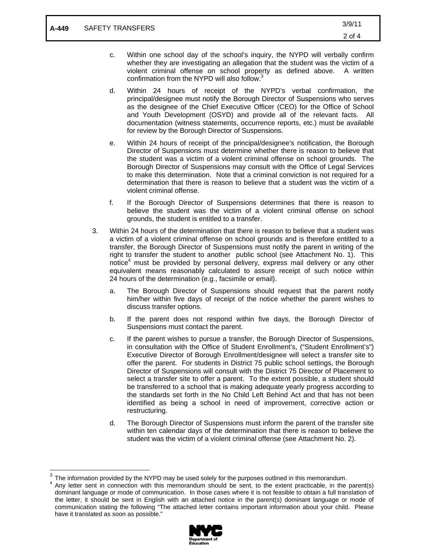- c. Within one school day of the school's inquiry, the NYPD will verbally confirm whether they are investigating an allegation that the student was the victim of a violent criminal offense on school property as defined above. A written confirmation from the NYPD will also follow.<sup>3</sup>
- d. Within 24 hours of receipt of the NYPD's verbal confirmation, the principal/designee must notify the Borough Director of Suspensions who serves as the designee of the Chief Executive Officer (CEO) for the Office of School and Youth Development (OSYD) and provide all of the relevant facts. All documentation (witness statements, occurrence reports, etc.) must be available for review by the Borough Director of Suspensions.
- e. Within 24 hours of receipt of the principal/designee's notification, the Borough Director of Suspensions must determine whether there is reason to believe that the student was a victim of a violent criminal offense on school grounds. The Borough Director of Suspensions may consult with the Office of Legal Services to make this determination. Note that a criminal conviction is not required for a determination that there is reason to believe that a student was the victim of a violent criminal offense.
- f. If the Borough Director of Suspensions determines that there is reason to believe the student was the victim of a violent criminal offense on school grounds, the student is entitled to a transfer.
- 3. Within 24 hours of the determination that there is reason to believe that a student was a victim of a violent criminal offense on school grounds and is therefore entitled to a transfer, the Borough Director of Suspensions must notify the parent in writing of the right to transfer the student to another public school (see Attachment No. 1). This notice<sup>4</sup> must be provided by personal delivery, express mail delivery or any other equivalent means reasonably calculated to assure receipt of such notice within 24 hours of the determination (e.g., facsimile or email).
	- a. The Borough Director of Suspensions should request that the parent notify him/her within five days of receipt of the notice whether the parent wishes to discuss transfer options.
	- b. If the parent does not respond within five days, the Borough Director of Suspensions must contact the parent.
	- c. If the parent wishes to pursue a transfer, the Borough Director of Suspensions, in consultation with the Office of Student Enrollment's, ("Student Enrollment's") Executive Director of Borough Enrollment/designee will select a transfer site to offer the parent. For students in District 75 public school settings, the Borough Director of Suspensions will consult with the District 75 Director of Placement to select a transfer site to offer a parent. To the extent possible, a student should be transferred to a school that is making adequate yearly progress according to the standards set forth in the No Child Left Behind Act and that has not been identified as being a school in need of improvement, corrective action or restructuring.
	- d. The Borough Director of Suspensions must inform the parent of the transfer site within ten calendar days of the determination that there is reason to believe the student was the victim of a violent criminal offense (see Attachment No. 2).

 $\overline{a}$ 

Any letter sent in connection with this memorandum should be sent, to the extent practicable, in the parent(s) dominant language or mode of communication. In those cases where it is not feasible to obtain a full translation of the letter, it should be sent in English with an attached notice in the parent(s) dominant language or mode of communication stating the following "The attached letter contains important information about your child. Please have it translated as soon as possible."



 $3$  The information provided by the NYPD may be used solely for the purposes outlined in this memorandum.<br> $4$  Apy letter gent in connection with this memorandum should be gent to the output proticeble, in the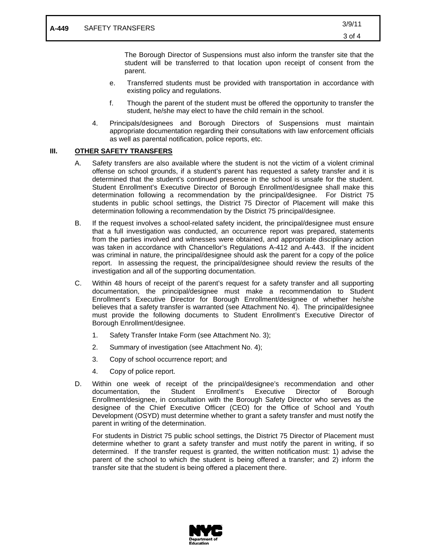The Borough Director of Suspensions must also inform the transfer site that the student will be transferred to that location upon receipt of consent from the parent.

- e. Transferred students must be provided with transportation in accordance with existing policy and regulations.
- f. Though the parent of the student must be offered the opportunity to transfer the student, he/she may elect to have the child remain in the school.
- 4. Principals/designees and Borough Directors of Suspensions must maintain appropriate documentation regarding their consultations with law enforcement officials as well as parental notification, police reports, etc.

#### **III. OTHER SAFETY TRANSFERS**

- A. Safety transfers are also available where the student is not the victim of a violent criminal offense on school grounds, if a student's parent has requested a safety transfer and it is determined that the student's continued presence in the school is unsafe for the student. Student Enrollment's Executive Director of Borough Enrollment/designee shall make this determination following a recommendation by the principal/designee. For District 75 students in public school settings, the District 75 Director of Placement will make this determination following a recommendation by the District 75 principal/designee.
- B. If the request involves a school-related safety incident, the principal/designee must ensure that a full investigation was conducted, an occurrence report was prepared, statements from the parties involved and witnesses were obtained, and appropriate disciplinary action was taken in accordance with Chancellor's Regulations A-412 and A-443. If the incident was criminal in nature, the principal/designee should ask the parent for a copy of the police report. In assessing the request, the principal/designee should review the results of the investigation and all of the supporting documentation.
- C. Within 48 hours of receipt of the parent's request for a safety transfer and all supporting documentation, the principal/designee must make a recommendation to Student Enrollment's Executive Director for Borough Enrollment/designee of whether he/she believes that a safety transfer is warranted (see Attachment No. 4). The principal/designee must provide the following documents to Student Enrollment's Executive Director of Borough Enrollment/designee.
	- 1. Safety Transfer Intake Form (see Attachment No. 3);
	- 2. Summary of investigation (see Attachment No. 4);
	- 3. Copy of school occurrence report; and
	- 4. Copy of police report.
- D. Within one week of receipt of the principal/designee's recommendation and other documentation, the Student Enrollment's Executive Director of Borough Enrollment/designee, in consultation with the Borough Safety Director who serves as the designee of the Chief Executive Officer (CEO) for the Office of School and Youth Development (OSYD) must determine whether to grant a safety transfer and must notify the parent in writing of the determination.

For students in District 75 public school settings, the District 75 Director of Placement must determine whether to grant a safety transfer and must notify the parent in writing, if so determined. If the transfer request is granted, the written notification must: 1) advise the parent of the school to which the student is being offered a transfer; and 2) inform the transfer site that the student is being offered a placement there.

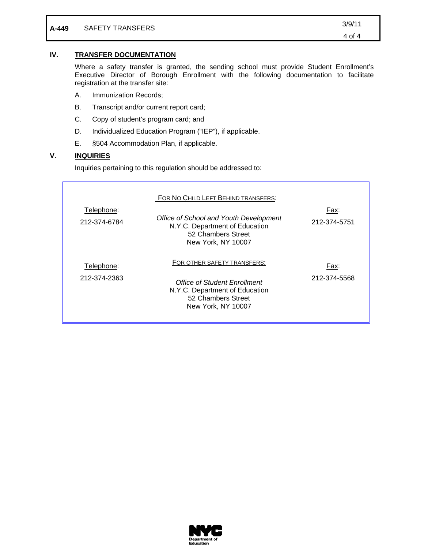| A-449 | SAFETY TRANSFERS | 3/9/11 |
|-------|------------------|--------|
|       |                  | 4 of 4 |

## **IV. TRANSFER DOCUMENTATION**

Where a safety transfer is granted, the sending school must provide Student Enrollment's Executive Director of Borough Enrollment with the following documentation to facilitate registration at the transfer site:

- A. Immunization Records;
- B. Transcript and/or current report card;
- C. Copy of student's program card; and
- D. Individualized Education Program ("IEP"), if applicable.
- E. §504 Accommodation Plan, if applicable.

#### **V. INQUIRIES**

Inquiries pertaining to this regulation should be addressed to:

| Telephone:<br>212-374-6784 | FOR NO CHILD LEFT BEHIND TRANSFERS:<br>Office of School and Youth Development<br>N.Y.C. Department of Education<br>52 Chambers Street<br>New York, NY 10007 | Fax:<br>212-374-5751 |
|----------------------------|-------------------------------------------------------------------------------------------------------------------------------------------------------------|----------------------|
| Telephone:<br>212-374-2363 | FOR OTHER SAFETY TRANSFERS:<br>Office of Student Enrollment<br>N.Y.C. Department of Education<br>52 Chambers Street<br>New York, NY 10007                   | Fax:<br>212-374-5568 |

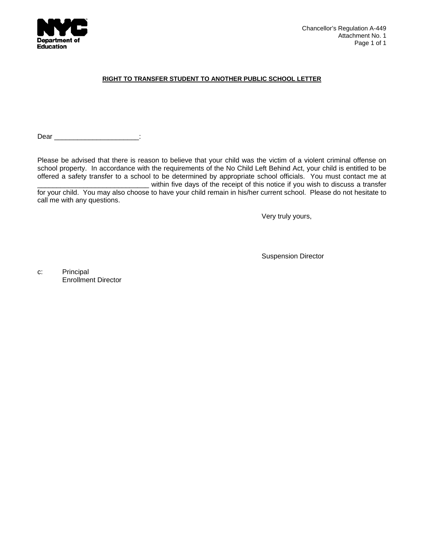

#### **RIGHT TO TRANSFER STUDENT TO ANOTHER PUBLIC SCHOOL LETTER**

Dear \_\_\_\_\_\_\_\_\_\_\_\_\_\_\_\_\_\_\_\_\_\_\_\_:

Please be advised that there is reason to believe that your child was the victim of a violent criminal offense on school property. In accordance with the requirements of the No Child Left Behind Act, your child is entitled to be offered a safety transfer to a school to be determined by appropriate school officials. You must contact me at \_\_\_\_\_\_\_\_\_\_\_\_\_\_\_\_\_\_\_\_\_\_\_\_\_\_\_\_\_ within five days of the receipt of this notice if you wish to discuss a transfer

for your child. You may also choose to have your child remain in his/her current school. Please do not hesitate to call me with any questions.

Very truly yours,

Suspension Director

c: Principal Enrollment Director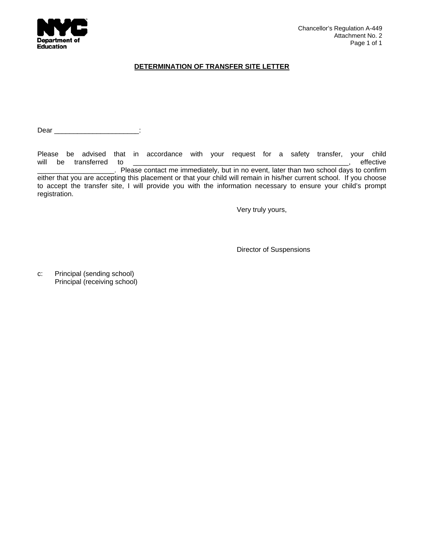

### **DETERMINATION OF TRANSFER SITE LETTER**

Dear \_\_\_\_\_\_\_\_\_\_\_\_\_\_\_\_\_\_\_\_\_\_:

Please be advised that in accordance with your request for a safety transfer, your child will be transferred to **will** be transferred to \_\_\_\_\_\_\_\_\_\_\_\_\_\_\_\_\_\_\_\_. Please contact me immediately, but in no event, later than two school days to confirm either that you are accepting this placement or that your child will remain in his/her current school. If you choose to accept the transfer site, I will provide you with the information necessary to ensure your child's prompt registration.

Very truly yours,

Director of Suspensions

c: Principal (sending school) Principal (receiving school)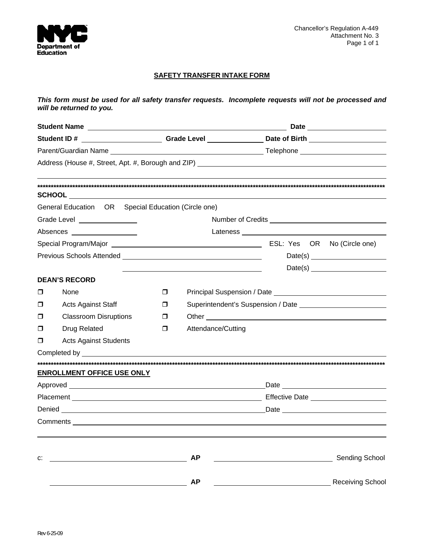

## **SAFETY TRANSFER INTAKE FORM**

*This form must be used for all safety transfer requests. Incomplete requests will not be processed and will be returned to you.*

|        |                                                     |   |                    | Student ID # _________________________Grade Level _________________Date of Birth ___________________         |  |
|--------|-----------------------------------------------------|---|--------------------|--------------------------------------------------------------------------------------------------------------|--|
|        |                                                     |   |                    |                                                                                                              |  |
|        |                                                     |   |                    |                                                                                                              |  |
|        |                                                     |   |                    |                                                                                                              |  |
|        | General Education OR Special Education (Circle one) |   |                    |                                                                                                              |  |
|        | Grade Level ________________                        |   |                    |                                                                                                              |  |
|        | Absences                                            |   |                    |                                                                                                              |  |
|        |                                                     |   |                    |                                                                                                              |  |
|        |                                                     |   |                    |                                                                                                              |  |
|        |                                                     |   |                    |                                                                                                              |  |
|        | <b>DEAN'S RECORD</b>                                |   |                    |                                                                                                              |  |
| $\Box$ | None                                                | □ |                    | Principal Suspension / Date Lawrence Lawrence Lawrence Lawrence Lawrence Lawrence Lawrence Lawrence Lawrence |  |
| $\Box$ | <b>Acts Against Staff</b>                           | □ |                    |                                                                                                              |  |
| $\Box$ | <b>Classroom Disruptions</b>                        | п |                    |                                                                                                              |  |
| □      | Drug Related                                        | □ | Attendance/Cutting |                                                                                                              |  |
| $\Box$ | <b>Acts Against Students</b>                        |   |                    |                                                                                                              |  |
|        | Completed by <b>Example 20</b>                      |   |                    |                                                                                                              |  |
|        |                                                     |   |                    |                                                                                                              |  |
|        | <b>ENROLLMENT OFFICE USE ONLY</b>                   |   |                    |                                                                                                              |  |
|        |                                                     |   |                    |                                                                                                              |  |
|        |                                                     |   |                    |                                                                                                              |  |
|        |                                                     |   |                    |                                                                                                              |  |
|        |                                                     |   |                    |                                                                                                              |  |
| c:     |                                                     |   | <b>AP</b>          | Sending School                                                                                               |  |
|        |                                                     |   | <b>AP</b>          | <b>Receiving School</b>                                                                                      |  |